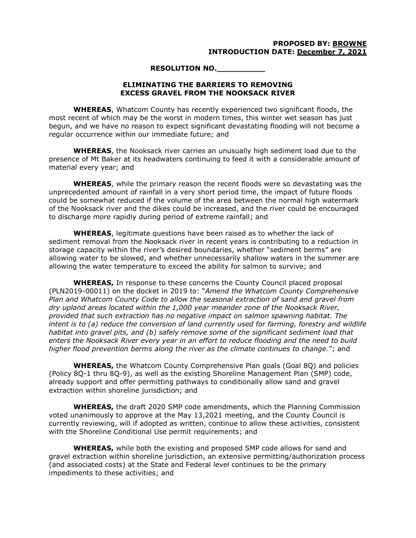## **PROPOSED BY: BROWNE INTRODUCTION DATE: December 7, 2021**

## **RESOLUTION NO.\_\_\_\_\_\_\_\_\_\_**

## **ELIMINATING THE BARRIERS TO REMOVING EXCESS GRAVEL FROM THE NOOKSACK RIVER**

**WHEREAS**, Whatcom County has recently experienced two significant floods, the most recent of which may be the worst in modern times, this winter wet season has just begun, and we have no reason to expect significant devastating flooding will not become a regular occurrence within our immediate future; and

**WHEREAS**, the Nooksack river carries an unusually high sediment load due to the presence of Mt Baker at its headwaters continuing to feed it with a considerable amount of material every year; and

**WHEREAS**, while the primary reason the recent floods were so devastating was the unprecedented amount of rainfall in a very short period time, the impact of future floods could be somewhat reduced if the volume of the area between the normal high watermark of the Nooksack river and the dikes could be increased, and the river could be encouraged to discharge more rapidly during period of extreme rainfall; and

**WHEREAS**, legitimate questions have been raised as to whether the lack of sediment removal from the Nooksack river in recent years is contributing to a reduction in storage capacity within the river's desired boundaries, whether "sediment berms" are allowing water to be slowed, and whether unnecessarily shallow waters in the summer are allowing the water temperature to exceed the ability for salmon to survive; and

**WHEREAS,** In response to these concerns the County Council placed proposal (PLN2019-00011) on the docket in 2019 to: "*Amend the Whatcom County Comprehensive Plan and Whatcom County Code to allow the seasonal extraction of sand and gravel from dry upland areas located within the 1,000 year meander zone of the Nooksack River, provided that such extraction has no negative impact on salmon spawning habitat. The intent is to (a) reduce the conversion of land currently used for farming, forestry and wildlife habitat into gravel pits, and (b) safely remove some of the significant sediment load that enters the Nooksack River every year in an effort to reduce flooding and the need to build higher flood prevention berms along the river as the climate continues to change.*"; and

**WHEREAS,** the Whatcom County Comprehensive Plan goals (Goal 8Q) and policies (Policy 8Q-1 thru 8Q-9), as well as the existing Shoreline Management Plan (SMP) code, already support and offer permitting pathways to conditionally allow sand and gravel extraction within shoreline jurisdiction; and

**WHEREAS,** the draft 2020 SMP code amendments, which the Planning Commission voted unanimously to approve at the May 13,2021 meeting, and the County Council is currently reviewing, will if adopted as written, continue to allow these activities, consistent with the Shoreline Conditional Use permit requirements; and

**WHEREAS,** while both the existing and proposed SMP code allows for sand and gravel extraction within shoreline jurisdiction, an extensive permitting/authorization process (and associated costs) at the State and Federal level continues to be the primary impediments to these activities; and